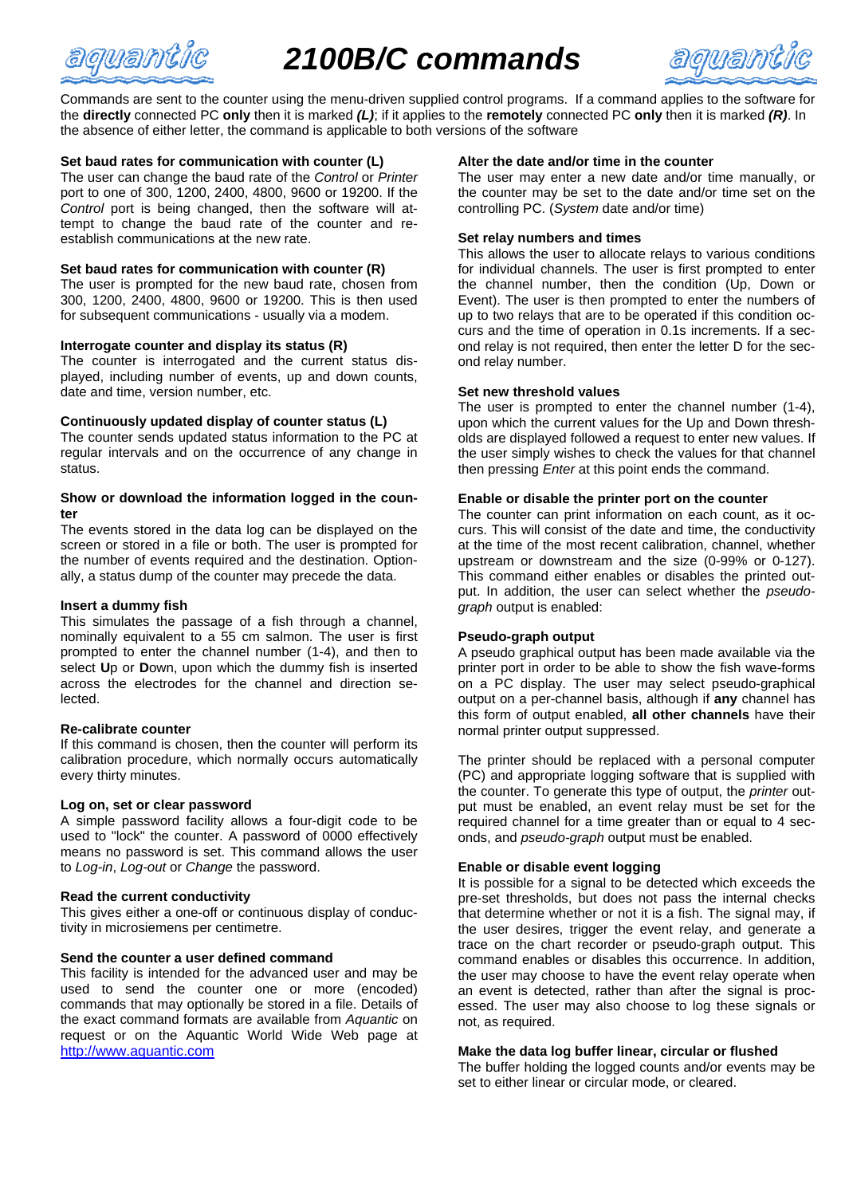

# *2100B/C commands*



Commands are sent to the counter using the menu-driven supplied control programs. If a command applies to the software for the **directly** connected PC **only** then it is marked *(L)*; if it applies to the **remotely** connected PC **only** then it is marked *(R)*. In the absence of either letter, the command is applicable to both versions of the software

## **Set baud rates for communication with counter (L)**

The user can change the baud rate of the *Control* or *Printer* port to one of 300, 1200, 2400, 4800, 9600 or 19200. If the *Control* port is being changed, then the software will attempt to change the baud rate of the counter and reestablish communications at the new rate.

## **Set baud rates for communication with counter (R)**

The user is prompted for the new baud rate, chosen from 300, 1200, 2400, 4800, 9600 or 19200. This is then used for subsequent communications - usually via a modem.

## **Interrogate counter and display its status (R)**

The counter is interrogated and the current status displayed, including number of events, up and down counts, date and time, version number, etc.

## **Continuously updated display of counter status (L)**

The counter sends updated status information to the PC at regular intervals and on the occurrence of any change in status.

## **Show or download the information logged in the counter**

The events stored in the data log can be displayed on the screen or stored in a file or both. The user is prompted for the number of events required and the destination. Optionally, a status dump of the counter may precede the data.

## **Insert a dummy fish**

This simulates the passage of a fish through a channel, nominally equivalent to a 55 cm salmon. The user is first prompted to enter the channel number (1-4), and then to select **U**p or **D**own, upon which the dummy fish is inserted across the electrodes for the channel and direction selected.

## **Re-calibrate counter**

If this command is chosen, then the counter will perform its calibration procedure, which normally occurs automatically every thirty minutes.

## **Log on, set or clear password**

A simple password facility allows a four-digit code to be used to "lock" the counter. A password of 0000 effectively means no password is set. This command allows the user to *Log-in*, *Log-out* or *Change* the password.

## **Read the current conductivity**

This gives either a one-off or continuous display of conductivity in microsiemens per centimetre.

## **Send the counter a user defined command**

This facility is intended for the advanced user and may be used to send the counter one or more (encoded) commands that may optionally be stored in a file. Details of the exact command formats are available from *Aquantic* on request or on the Aquantic World Wide Web page at http://www.aquantic.com

## **Alter the date and/or time in the counter**

The user may enter a new date and/or time manually, or the counter may be set to the date and/or time set on the controlling PC. (*System* date and/or time)

## **Set relay numbers and times**

This allows the user to allocate relays to various conditions for individual channels. The user is first prompted to enter the channel number, then the condition (Up, Down or Event). The user is then prompted to enter the numbers of up to two relays that are to be operated if this condition occurs and the time of operation in 0.1s increments. If a second relay is not required, then enter the letter D for the second relay number.

## **Set new threshold values**

The user is prompted to enter the channel number (1-4), upon which the current values for the Up and Down thresholds are displayed followed a request to enter new values. If the user simply wishes to check the values for that channel then pressing *Enter* at this point ends the command.

## **Enable or disable the printer port on the counter**

The counter can print information on each count, as it occurs. This will consist of the date and time, the conductivity at the time of the most recent calibration, channel, whether upstream or downstream and the size (0-99% or 0-127). This command either enables or disables the printed output. In addition, the user can select whether the *pseudograph* output is enabled:

## **Pseudo-graph output**

A pseudo graphical output has been made available via the printer port in order to be able to show the fish wave-forms on a PC display. The user may select pseudo-graphical output on a per-channel basis, although if **any** channel has this form of output enabled, **all other channels** have their normal printer output suppressed.

The printer should be replaced with a personal computer (PC) and appropriate logging software that is supplied with the counter. To generate this type of output, the *printer* output must be enabled, an event relay must be set for the required channel for a time greater than or equal to 4 seconds, and *pseudo-graph* output must be enabled.

## **Enable or disable event logging**

It is possible for a signal to be detected which exceeds the pre-set thresholds, but does not pass the internal checks that determine whether or not it is a fish. The signal may, if the user desires, trigger the event relay, and generate a trace on the chart recorder or pseudo-graph output. This command enables or disables this occurrence. In addition, the user may choose to have the event relay operate when an event is detected, rather than after the signal is processed. The user may also choose to log these signals or not, as required.

## **Make the data log buffer linear, circular or flushed**

The buffer holding the logged counts and/or events may be set to either linear or circular mode, or cleared.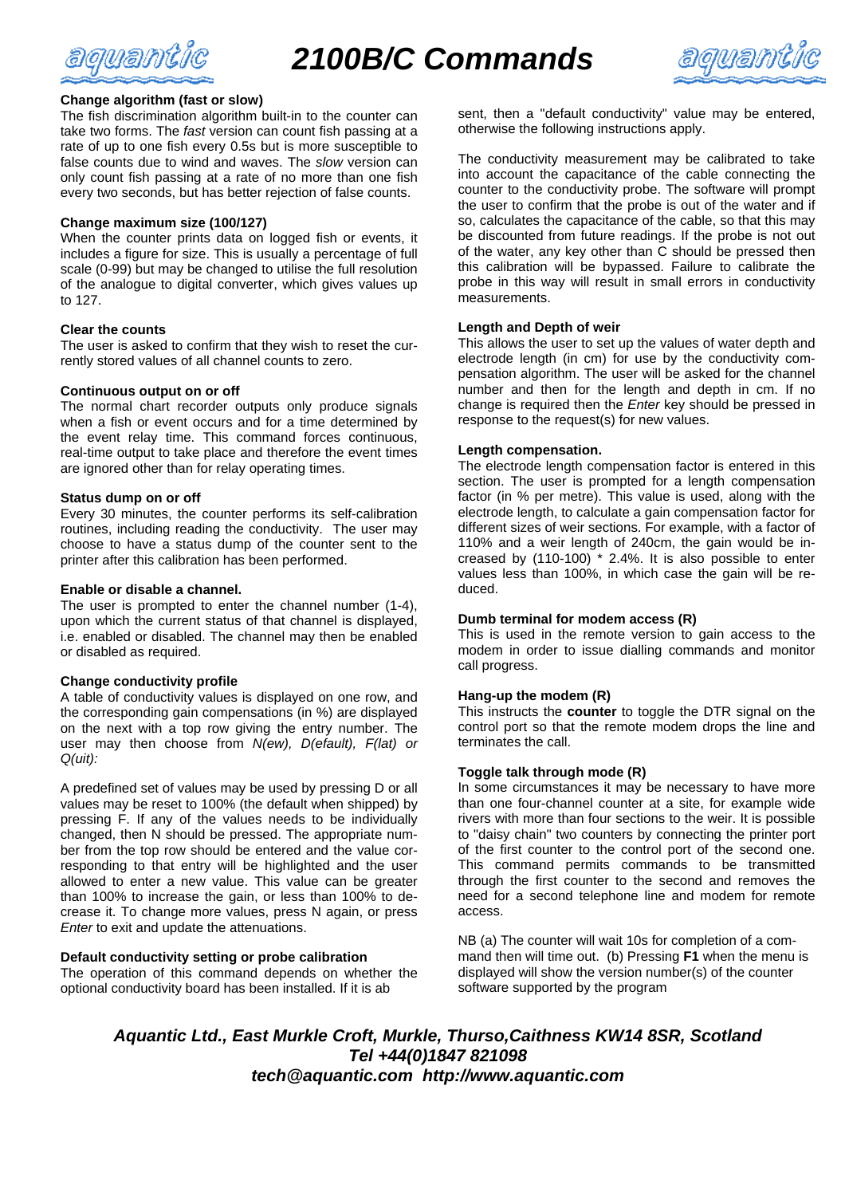



## **Change algorithm (fast or slow)**

The fish discrimination algorithm built-in to the counter can take two forms. The *fast* version can count fish passing at a rate of up to one fish every 0.5s but is more susceptible to false counts due to wind and waves. The *slow* version can only count fish passing at a rate of no more than one fish every two seconds, but has better rejection of false counts.

## **Change maximum size (100/127)**

When the counter prints data on logged fish or events, it includes a figure for size. This is usually a percentage of full scale (0-99) but may be changed to utilise the full resolution of the analogue to digital converter, which gives values up to 127.

## **Clear the counts**

The user is asked to confirm that they wish to reset the currently stored values of all channel counts to zero.

## **Continuous output on or off**

The normal chart recorder outputs only produce signals when a fish or event occurs and for a time determined by the event relay time. This command forces continuous, real-time output to take place and therefore the event times are ignored other than for relay operating times.

## **Status dump on or off**

Every 30 minutes, the counter performs its self-calibration routines, including reading the conductivity. The user may choose to have a status dump of the counter sent to the printer after this calibration has been performed.

## **Enable or disable a channel.**

The user is prompted to enter the channel number (1-4), upon which the current status of that channel is displayed, i.e. enabled or disabled. The channel may then be enabled or disabled as required.

## **Change conductivity profile**

A table of conductivity values is displayed on one row, and the corresponding gain compensations (in %) are displayed on the next with a top row giving the entry number. The user may then choose from *N(ew), D(efault), F(lat) or Q(uit):*

A predefined set of values may be used by pressing D or all values may be reset to 100% (the default when shipped) by pressing F. If any of the values needs to be individually changed, then N should be pressed. The appropriate number from the top row should be entered and the value corresponding to that entry will be highlighted and the user allowed to enter a new value. This value can be greater than 100% to increase the gain, or less than 100% to decrease it. To change more values, press N again, or press *Enter* to exit and update the attenuations.

## **Default conductivity setting or probe calibration**

The operation of this command depends on whether the optional conductivity board has been installed. If it is ab

sent, then a "default conductivity" value may be entered, otherwise the following instructions apply.

The conductivity measurement may be calibrated to take into account the capacitance of the cable connecting the counter to the conductivity probe. The software will prompt the user to confirm that the probe is out of the water and if so, calculates the capacitance of the cable, so that this may be discounted from future readings. If the probe is not out of the water, any key other than C should be pressed then this calibration will be bypassed. Failure to calibrate the probe in this way will result in small errors in conductivity measurements.

## **Length and Depth of weir**

This allows the user to set up the values of water depth and electrode length (in cm) for use by the conductivity compensation algorithm. The user will be asked for the channel number and then for the length and depth in cm. If no change is required then the *Enter* key should be pressed in response to the request(s) for new values.

## **Length compensation.**

The electrode length compensation factor is entered in this section. The user is prompted for a length compensation factor (in % per metre). This value is used, along with the electrode length, to calculate a gain compensation factor for different sizes of weir sections. For example, with a factor of 110% and a weir length of 240cm, the gain would be increased by (110-100) \* 2.4%. It is also possible to enter values less than 100%, in which case the gain will be reduced.

## **Dumb terminal for modem access (R)**

This is used in the remote version to gain access to the modem in order to issue dialling commands and monitor call progress.

## **Hang-up the modem (R)**

This instructs the **counter** to toggle the DTR signal on the control port so that the remote modem drops the line and terminates the call.

## **Toggle talk through mode (R)**

In some circumstances it may be necessary to have more than one four-channel counter at a site, for example wide rivers with more than four sections to the weir. It is possible to "daisy chain" two counters by connecting the printer port of the first counter to the control port of the second one. This command permits commands to be transmitted through the first counter to the second and removes the need for a second telephone line and modem for remote access.

NB (a) The counter will wait 10s for completion of a command then will time out. (b) Pressing **F1** when the menu is displayed will show the version number(s) of the counter software supported by the program

*Aquantic Ltd., East Murkle Croft, Murkle, Thurso,Caithness KW14 8SR, Scotland Tel +44(0)1847 821098 tech@aquantic.com http://www.aquantic.com*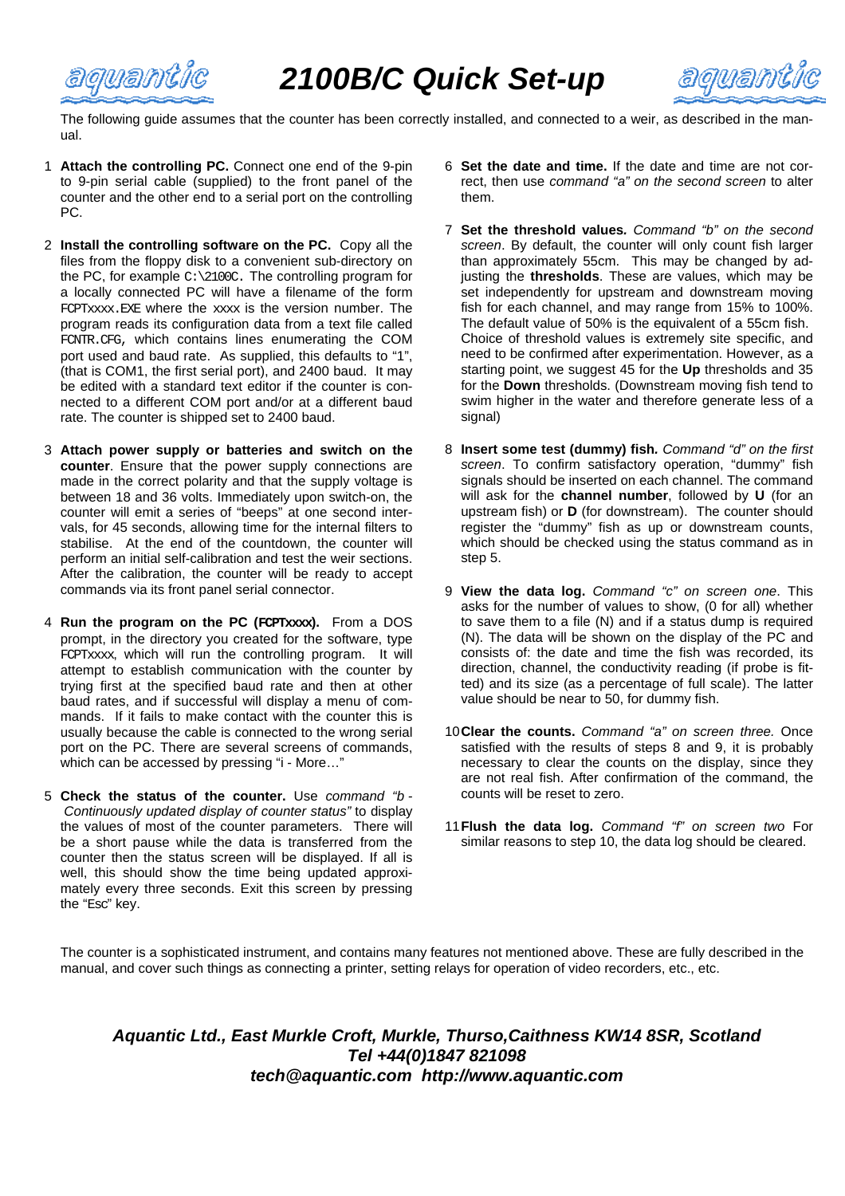

aquant

The following guide assumes that the counter has been correctly installed, and connected to a weir, as described in the manual.

- 1 **Attach the controlling PC.** Connect one end of the 9-pin to 9-pin serial cable (supplied) to the front panel of the counter and the other end to a serial port on the controlling PC.
- 2 **Install the controlling software on the PC.** Copy all the files from the floppy disk to a convenient sub-directory on the PC, for example C:\2100C. The controlling program for a locally connected PC will have a filename of the form FCPTxxxx.EXE where the xxxx is the version number. The program reads its configuration data from a text file called FCNTR.CFG, which contains lines enumerating the COM port used and baud rate. As supplied, this defaults to "1", (that is COM1, the first serial port), and 2400 baud. It may be edited with a standard text editor if the counter is connected to a different COM port and/or at a different baud rate. The counter is shipped set to 2400 baud.
- 3 **Attach power supply or batteries and switch on the counter**. Ensure that the power supply connections are made in the correct polarity and that the supply voltage is between 18 and 36 volts. Immediately upon switch-on, the counter will emit a series of "beeps" at one second intervals, for 45 seconds, allowing time for the internal filters to stabilise. At the end of the countdown, the counter will perform an initial self-calibration and test the weir sections. After the calibration, the counter will be ready to accept commands via its front panel serial connector.
- 4 **Run the program on the PC (FCPTxxxx).** From a DOS prompt, in the directory you created for the software, type FCPTxxxx, which will run the controlling program. It will attempt to establish communication with the counter by trying first at the specified baud rate and then at other baud rates, and if successful will display a menu of commands. If it fails to make contact with the counter this is usually because the cable is connected to the wrong serial port on the PC. There are several screens of commands, which can be accessed by pressing "i - More…"
- 5 **Check the status of the counter.** Use *command "b - Continuously updated display of counter status"* to display the values of most of the counter parameters. There will be a short pause while the data is transferred from the counter then the status screen will be displayed. If all is well, this should show the time being updated approximately every three seconds. Exit this screen by pressing the "Esc" key.
- 6 **Set the date and time.** If the date and time are not correct, then use *command "a" on the second screen* to alter them.
- 7 **Set the threshold values***. Command "b" on the second screen*. By default, the counter will only count fish larger than approximately 55cm. This may be changed by adjusting the **thresholds**. These are values, which may be set independently for upstream and downstream moving fish for each channel, and may range from 15% to 100%. The default value of 50% is the equivalent of a 55cm fish. Choice of threshold values is extremely site specific, and need to be confirmed after experimentation. However, as a starting point, we suggest 45 for the **Up** thresholds and 35 for the **Down** thresholds. (Downstream moving fish tend to swim higher in the water and therefore generate less of a signal)
- 8 **Insert some test (dummy) fish***. Command "d" on the first screen*. To confirm satisfactory operation, "dummy" fish signals should be inserted on each channel. The command will ask for the **channel number**, followed by **U** (for an upstream fish) or **D** (for downstream). The counter should register the "dummy" fish as up or downstream counts, which should be checked using the status command as in step 5.
- 9 **View the data log.** *Command "c" on screen one*. This asks for the number of values to show, (0 for all) whether to save them to a file (N) and if a status dump is required (N). The data will be shown on the display of the PC and consists of: the date and time the fish was recorded, its direction, channel, the conductivity reading (if probe is fitted) and its size (as a percentage of full scale). The latter value should be near to 50, for dummy fish.
- 10**Clear the counts.** *Command "a" on screen three.* Once satisfied with the results of steps 8 and 9, it is probably necessary to clear the counts on the display, since they are not real fish. After confirmation of the command, the counts will be reset to zero.
- 11**Flush the data log.** *Command "f" on screen two* For similar reasons to step 10, the data log should be cleared.

The counter is a sophisticated instrument, and contains many features not mentioned above. These are fully described in the manual, and cover such things as connecting a printer, setting relays for operation of video recorders, etc., etc.

## *Aquantic Ltd., East Murkle Croft, Murkle, Thurso,Caithness KW14 8SR, Scotland Tel +44(0)1847 821098 tech@aquantic.com http://www.aquantic.com*